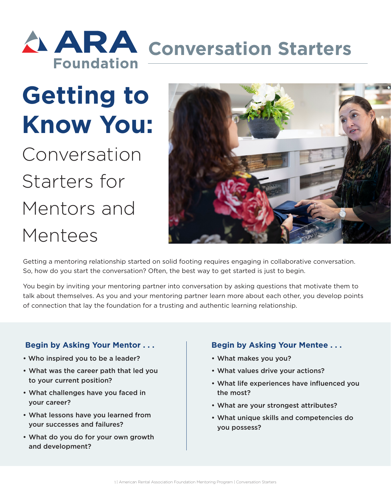## **ARA** conversation Starters **Foundation**

# **Getting to Know You:**

Conversation Starters for Mentors and Mentees



Getting a mentoring relationship started on solid footing requires engaging in collaborative conversation. So, how do you start the conversation? Often, the best way to get started is just to begin.

You begin by inviting your mentoring partner into conversation by asking questions that motivate them to talk about themselves. As you and your mentoring partner learn more about each other, you develop points of connection that lay the foundation for a trusting and authentic learning relationship.

#### **Begin by Asking Your Mentor . . .**

- Who inspired you to be a leader?
- What was the career path that led you to your current position?
- What challenges have you faced in your career?
- What lessons have you learned from your successes and failures?
- What do you do for your own growth and development?

#### **Begin by Asking Your Mentee . . .**

- What makes you you?
- What values drive your actions?
- What life experiences have influenced you the most?
- What are your strongest attributes?
- What unique skills and competencies do you possess?